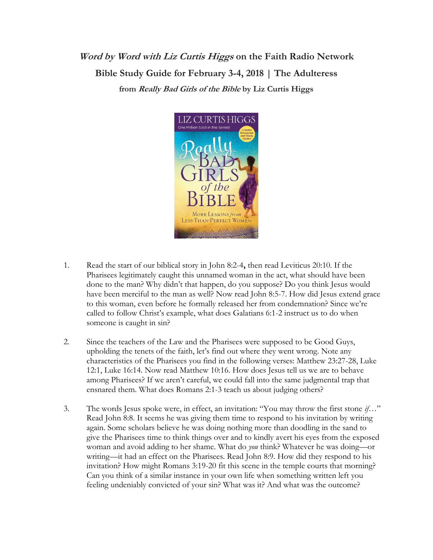## **Word by Word with Liz Curtis Higgs on the Faith Radio Network Bible Study Guide for February 3-4, 2018 | The Adulteress from Really Bad Girls of the Bible by Liz Curtis Higgs**



- 1. Read the start of our biblical story in John 8:2-4**,** then read Leviticus 20:10. If the Pharisees legitimately caught this unnamed woman in the act, what should have been done to the man? Why didn't that happen, do you suppose? Do you think Jesus would have been merciful to the man as well? Now read John 8:5-7. How did Jesus extend grace to this woman, even before he formally released her from condemnation? Since we're called to follow Christ's example, what does Galatians 6:1-2 instruct us to do when someone is caught in sin?
- 2. Since the teachers of the Law and the Pharisees were supposed to be Good Guys, upholding the tenets of the faith, let's find out where they went wrong. Note any characteristics of the Pharisees you find in the following verses: Matthew 23:27-28, Luke 12:1, Luke 16:14. Now read Matthew 10:16. How does Jesus tell us we are to behave among Pharisees? If we aren't careful, we could fall into the same judgmental trap that ensnared them. What does Romans 2:1-3 teach us about judging others?
- 3. The words Jesus spoke were, in effect, an invitation: "You may throw the first stone *if*…" Read John 8:8. It seems he was giving them time to respond to his invitation by writing again. Some scholars believe he was doing nothing more than doodling in the sand to give the Pharisees time to think things over and to kindly avert his eyes from the exposed woman and avoid adding to her shame. What do *you* think? Whatever he was doing—or writing—it had an effect on the Pharisees. Read John 8:9. How did they respond to his invitation? How might Romans 3:19-20 fit this scene in the temple courts that morning? Can you think of a similar instance in your own life when something written left you feeling undeniably convicted of your sin? What was it? And what was the outcome?